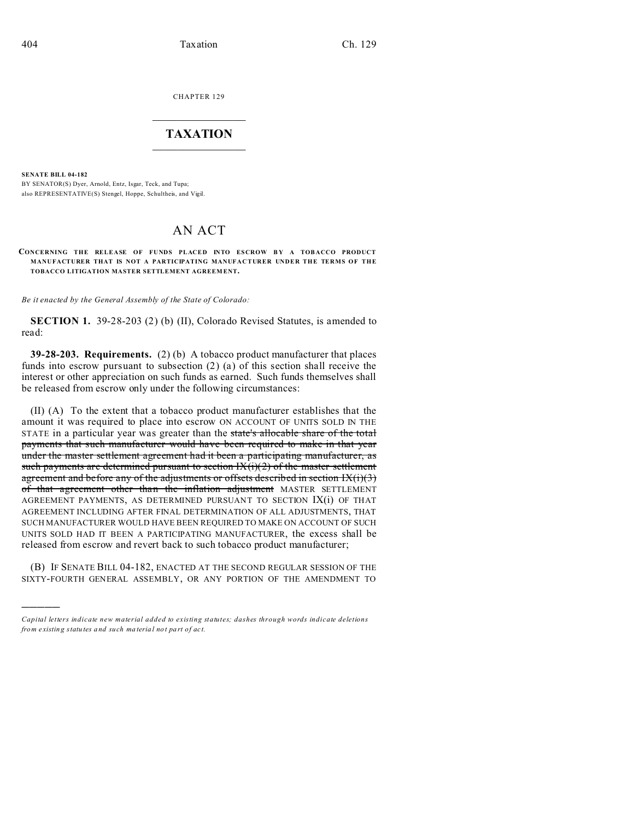CHAPTER 129  $\overline{\phantom{a}}$  , where  $\overline{\phantom{a}}$ 

## **TAXATION**  $\_$

**SENATE BILL 04-182**

)))))

BY SENATOR(S) Dyer, Arnold, Entz, Isgar, Teck, and Tupa; also REPRESENTATIVE(S) Stengel, Hoppe, Schultheis, and Vigil.

## AN ACT

## **CONCERNING THE RELEASE OF FUNDS PLACED INTO ESCROW BY A TOBACCO PRODUCT MANUFACTURER THAT IS NOT A PARTICIPATING MANUFACTURER UNDER THE TERMS OF THE TOBACCO LITIGATION MASTER SETTLEMENT AGREEM ENT.**

*Be it enacted by the General Assembly of the State of Colorado:*

**SECTION 1.** 39-28-203 (2) (b) (II), Colorado Revised Statutes, is amended to read:

**39-28-203. Requirements.** (2) (b) A tobacco product manufacturer that places funds into escrow pursuant to subsection (2) (a) of this section shall receive the interest or other appreciation on such funds as earned. Such funds themselves shall be released from escrow only under the following circumstances:

(II) (A) To the extent that a tobacco product manufacturer establishes that the amount it was required to place into escrow ON ACCOUNT OF UNITS SOLD IN THE STATE in a particular year was greater than the state's allocable share of the total payments that such manufacturer would have been required to make in that year under the master settlement agreement had it been a participating manufacturer, as such payments are determined pursuant to section  $IX(i)(2)$  of the master settlement agreement and before any of the adjustments or offsets described in section  $IX(i)(3)$ of that agreement other than the inflation adjustment MASTER SETTLEMENT AGREEMENT PAYMENTS, AS DETERMINED PURSUANT TO SECTION IX(i) OF THAT AGREEMENT INCLUDING AFTER FINAL DETERMINATION OF ALL ADJUSTMENTS, THAT SUCH MANUFACTURER WOULD HAVE BEEN REQUIRED TO MAKE ON ACCOUNT OF SUCH UNITS SOLD HAD IT BEEN A PARTICIPATING MANUFACTURER, the excess shall be released from escrow and revert back to such tobacco product manufacturer;

(B) IF SENATE BILL 04-182, ENACTED AT THE SECOND REGULAR SESSION OF THE SIXTY-FOURTH GENERAL ASSEMBLY, OR ANY PORTION OF THE AMENDMENT TO

*Capital letters indicate new material added to existing statutes; dashes through words indicate deletions from e xistin g statu tes a nd such ma teria l no t pa rt of ac t.*